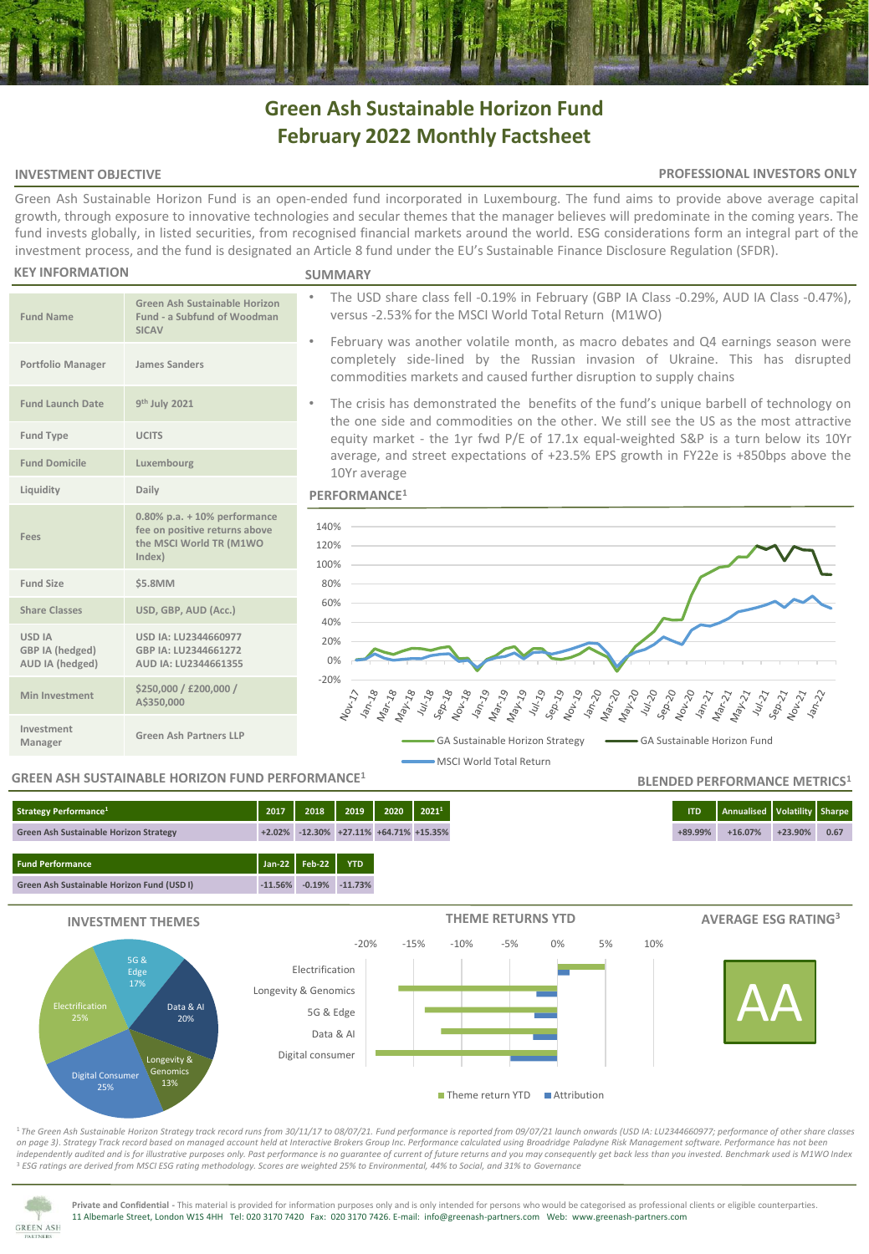# **Green Ash Sustainable Horizon Fund February 2022 Monthly Factsheet**

# **INVESTMENT OBJECTIVE**

## **PROFESSIONAL INVESTORS ONLY**

**BLENDED PERFORMANCE METRICS<sup>1</sup>**

Green Ash Sustainable Horizon Fund is an open-ended fund incorporated in Luxembourg. The fund aims to provide above average capital growth, through exposure to innovative technologies and secular themes that the manager believes will predominate in the coming years. The fund invests globally, in listed securities, from recognised financial markets around the world. ESG considerations form an integral part of the investment process, and the fund is designated an Article 8 fund under the EU's Sustainable Finance Disclosure Regulation (SFDR).

#### **KEY INFORMATION**

**Fund Name**

**Fund Launch Date** 

**Fees**

**USD IA GBP IA (hedged) AUD IA (hedged)**

**Investment** 

#### **SUMMARY**

- The USD share class fell -0.19% in February (GBP IA Class -0.29%, AUD IA Class -0.47%), versus -2.53% for the MSCI World Total Return (M1WO)
- February was another volatile month, as macro debates and Q4 earnings season were completely side-lined by the Russian invasion of Ukraine. This has disrupted commodities markets and caused further disruption to supply chains
- The crisis has demonstrated the benefits of the fund's unique barbell of technology on the one side and commodities on the other. We still see the US as the most attractive equity market - the 1yr fwd P/E of 17.1x equal-weighted S&P is a turn below its 10Yr average, and street expectations of +23.5% EPS growth in FY22e is +850bps above the 10Yr average





# **GREEN ASH SUSTAINABLE HORIZON FUND PERFORMANCE<sup>1</sup>**

**Manager Green Ash Partners LLP**

**USD IA: LU2344660977 GBP IA: LU2344661272 AUD IA: LU2344661355**

**Green Ash Sustainable Horizon Fund - a Subfund of Woodman** 

**0.80% p.a. + 10% performance fee on positive returns above the MSCI World TR (M1WO** 

**SICAV**

**th July 2021**

**Index)**

**Share Classes USD, GBP, AUD (Acc.)**

**Min Investment \$250,000 / £200,000 /** 

**A\$350,000**

**Portfolio Manager James Sanders**

**Fund Type UCITS Fund Domicile Luxembourg Liquidity Daily**

**Fund Size \$5.8MM**





<sup>1</sup>*The Green Ash Sustainable Horizon Strategy track record runs from 30/11/17 to 08/07/21. Fund performance is reported from 09/07/21 launch onwards (USD IA: LU2344660977; performance of other share classes on page 3)*. *Strategy Track record based on managed account held at Interactive Brokers Group Inc. Performance calculated using Broadridge Paladyne Risk Management software. Performance has not been independently audited and is for illustrative purposes only. Past performance is no guarantee of current of future returns and you may consequently get back less than you invested. Benchmark used is M1WO Index* <sup>3</sup> *ESG ratings are derived from MSCI ESG rating methodology. Scores are weighted 25% to Environmental, 44% to Social, and 31% to Governance*



**Private and Confidential -** This material is provided for information purposes only and is only intended for persons who would be categorised as professional clients or eligible counterparties. 11 Albemarle Street, London W1S 4HH Tel: 020 3170 7420 Fax: 020 3170 7426. E-mail: info@greenash-partners.com Web: www.greenash-partners.com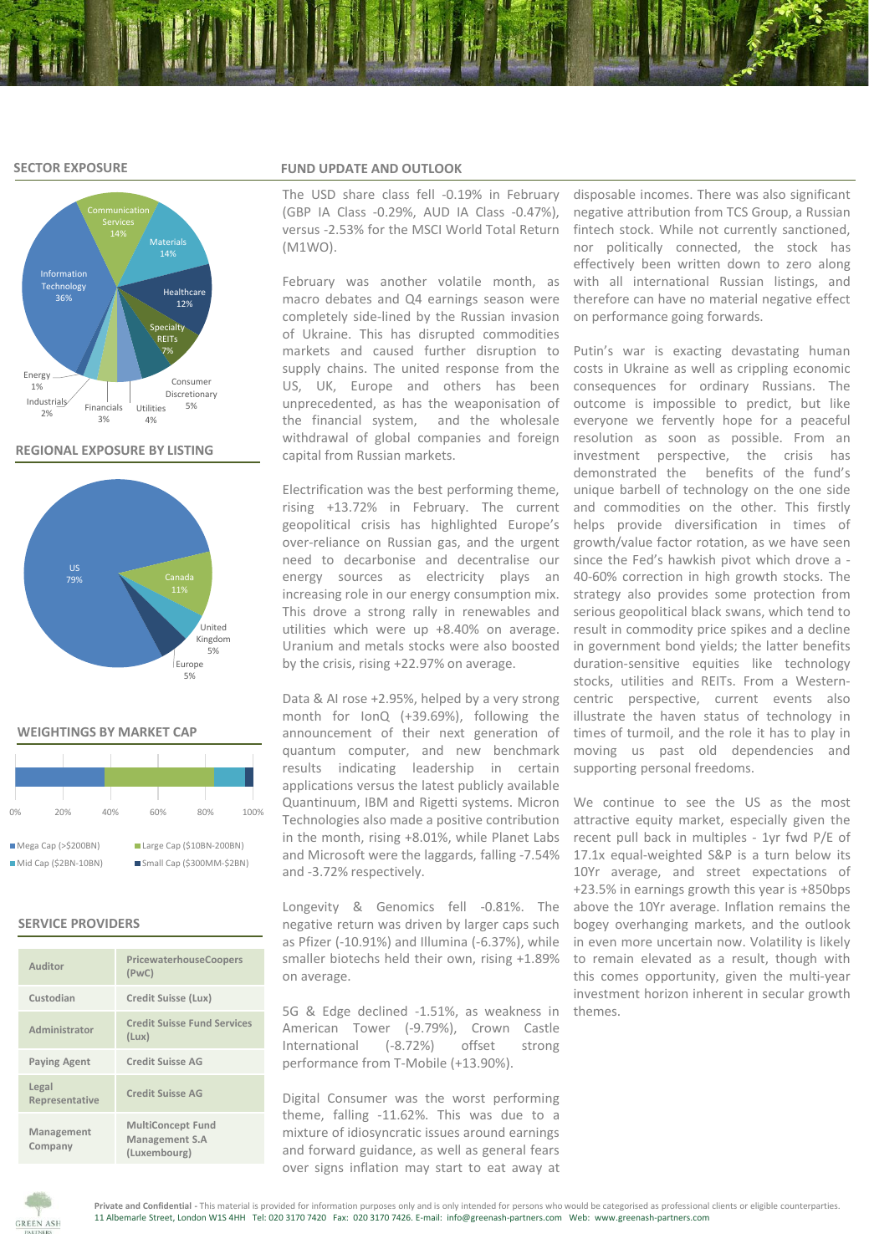## **SECTOR EXPOSURE**



# **REGIONAL EXPOSURE BY LISTING**



#### **WEIGHTINGS BY MARKET CAP**

| 0%                   | 20% | 40% | 60%                       | 80% | 100% |  |  |  |  |
|----------------------|-----|-----|---------------------------|-----|------|--|--|--|--|
|                      |     |     |                           |     |      |  |  |  |  |
| Mega Cap (> \$200BN) |     |     | Large Cap (\$10BN-200BN)  |     |      |  |  |  |  |
| Mid Cap (\$2BN-10BN) |     |     | Small Cap (\$300MM-\$2BN) |     |      |  |  |  |  |

## **SERVICE PROVIDERS**

| Auditor                 | PricewaterhouseCoopers<br>(PWC)                            |
|-------------------------|------------------------------------------------------------|
| Custodian               | Credit Suisse (Lux)                                        |
| Administrator           | <b>Credit Suisse Fund Services</b><br>(Lux)                |
| <b>Paying Agent</b>     | Credit Suisse AG                                           |
| Legal<br>Representative | <b>Credit Suisse AG</b>                                    |
| Management<br>Company   | <b>MultiConcept Fund</b><br>Management S.A<br>(Luxembourg) |

### **FUND UPDATE AND OUTLOOK**

The USD share class fell -0.19% in February (GBP IA Class -0.29%, AUD IA Class -0.47%), versus -2.53% for the MSCI World Total Return (M1WO).

February was another volatile month, as macro debates and Q4 earnings season were completely side-lined by the Russian invasion of Ukraine. This has disrupted commodities markets and caused further disruption to supply chains. The united response from the costs in Ukraine as well as crippling economic US, UK, Europe and others has been unprecedented, as has the weaponisation of the financial system, and the wholesale withdrawal of global companies and foreign resolution as soon as possible. From an capital from Russian markets.

Electrification was the best performing theme, rising +13.72% in February. The current geopolitical crisis has highlighted Europe's over-reliance on Russian gas, and the urgent need to decarbonise and decentralise our energy sources as electricity plays an increasing role in our energy consumption mix. This drove a strong rally in renewables and utilities which were up +8.40% on average. Uranium and metals stocks were also boosted by the crisis, rising +22.97% on average.

month for IonQ (+39.69%), following the illustrate the haven status of technology in announcement of their next generation of times of turmoil, and the role it has to play in quantum computer, and new benchmark moving us past old dependencies and results indicating leadership in certain applications versus the latest publicly available Quantinuum, IBM and Rigetti systems. Micron Technologies also made a positive contribution in the month, rising +8.01%, while Planet Labs and Microsoft were the laggards, falling -7.54% 17.1x equal-weighted S&P is a turn below its and -3.72% respectively.

Longevity & Genomics fell -0.81%. The negative return was driven by larger caps such as Pfizer (-10.91%) and Illumina (-6.37%), while smaller biotechs held their own, rising +1.89% on average.

5G & Edge declined -1.51%, as weakness in American Tower (-9.79%), Crown Castle International (-8.72%) offset strong performance from T-Mobile (+13.90%).

Digital Consumer was the worst performing theme, falling -11.62%. This was due to a mixture of idiosyncratic issues around earnings and forward guidance, as well as general fears over signs inflation may start to eat away at

disposable incomes. There was also significant negative attribution from TCS Group, a Russian fintech stock. While not currently sanctioned, nor politically connected, the stock has effectively been written down to zero along with all international Russian listings, and therefore can have no material negative effect on performance going forwards.

Data & AI rose +2.95%, helped by a very strong centric perspective, current events also Putin's war is exacting devastating human consequences for ordinary Russians. The outcome is impossible to predict, but like everyone we fervently hope for a peaceful investment perspective, the crisis has demonstrated the benefits of the fund's unique barbell of technology on the one side and commodities on the other. This firstly helps provide diversification in times of growth/value factor rotation, as we have seen since the Fed's hawkish pivot which drove a - 40-60% correction in high growth stocks. The strategy also provides some protection from serious geopolitical black swans, which tend to result in commodity price spikes and a decline in government bond yields; the latter benefits duration-sensitive equities like technology stocks, utilities and REITs. From a Westernsupporting personal freedoms.

> We continue to see the US as the most attractive equity market, especially given the recent pull back in multiples - 1yr fwd P/E of 10Yr average, and street expectations of +23.5% in earnings growth this year is +850bps above the 10Yr average. Inflation remains the bogey overhanging markets, and the outlook in even more uncertain now. Volatility is likely to remain elevated as a result, though with this comes opportunity, given the multi-year investment horizon inherent in secular growth themes.